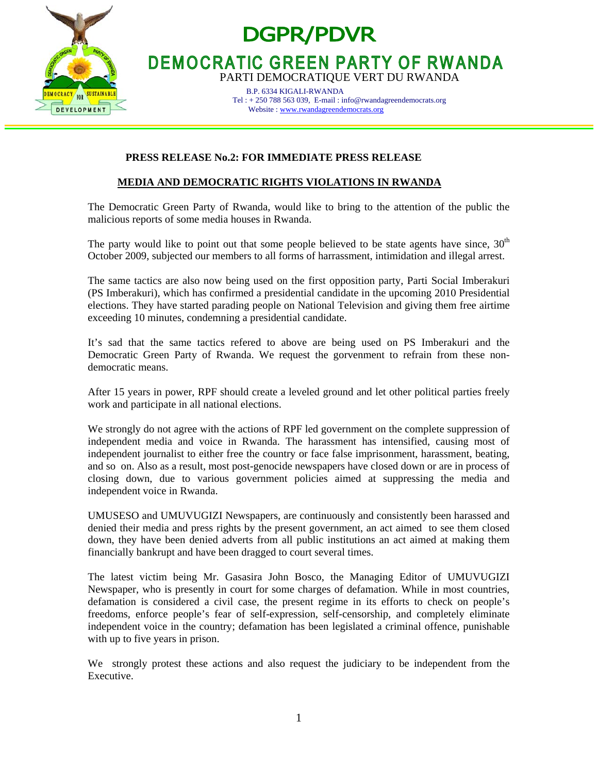

# **DGPR/PDVR**

# **DEMOCRATIC GREEN PARTY OF RWANDA**

PARTI DEMOCRATIQUE VERT DU RWANDA

 B.P. 6334 KIGALI-RWANDA Tel : + 250 788 563 039, E-mail : info@rwandagreendemocrats.org Website : www.rwandagreendemocrats.org

## **PRESS RELEASE No.2: FOR IMMEDIATE PRESS RELEASE**

# **MEDIA AND DEMOCRATIC RIGHTS VIOLATIONS IN RWANDA**

The Democratic Green Party of Rwanda, would like to bring to the attention of the public the malicious reports of some media houses in Rwanda.

The party would like to point out that some people believed to be state agents have since,  $30<sup>th</sup>$ October 2009, subjected our members to all forms of harrassment, intimidation and illegal arrest.

The same tactics are also now being used on the first opposition party, Parti Social Imberakuri (PS Imberakuri), which has confirmed a presidential candidate in the upcoming 2010 Presidential elections. They have started parading people on National Television and giving them free airtime exceeding 10 minutes, condemning a presidential candidate.

It's sad that the same tactics refered to above are being used on PS Imberakuri and the Democratic Green Party of Rwanda. We request the gorvenment to refrain from these nondemocratic means.

After 15 years in power, RPF should create a leveled ground and let other political parties freely work and participate in all national elections.

We strongly do not agree with the actions of RPF led government on the complete suppression of independent media and voice in Rwanda. The harassment has intensified, causing most of independent journalist to either free the country or face false imprisonment, harassment, beating, and so on. Also as a result, most post-genocide newspapers have closed down or are in process of closing down, due to various government policies aimed at suppressing the media and independent voice in Rwanda.

UMUSESO and UMUVUGIZI Newspapers, are continuously and consistently been harassed and denied their media and press rights by the present government, an act aimed to see them closed down, they have been denied adverts from all public institutions an act aimed at making them financially bankrupt and have been dragged to court several times.

The latest victim being Mr. Gasasira John Bosco, the Managing Editor of UMUVUGIZI Newspaper, who is presently in court for some charges of defamation. While in most countries, defamation is considered a civil case, the present regime in its efforts to check on people's freedoms, enforce people's fear of self-expression, self-censorship, and completely eliminate independent voice in the country; defamation has been legislated a criminal offence, punishable with up to five years in prison.

We strongly protest these actions and also request the judiciary to be independent from the Executive.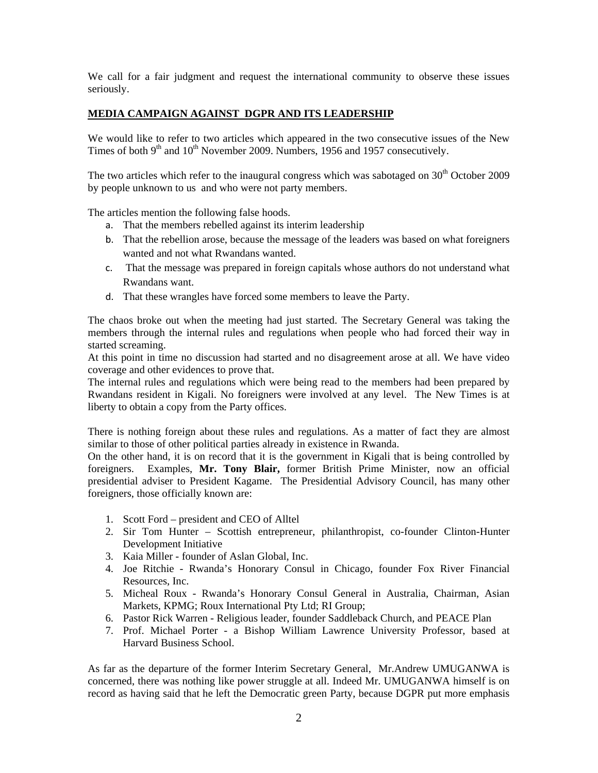We call for a fair judgment and request the international community to observe these issues seriously.

### **MEDIA CAMPAIGN AGAINST DGPR AND ITS LEADERSHIP**

We would like to refer to two articles which appeared in the two consecutive issues of the New Times of both  $9<sup>th</sup>$  and  $10<sup>th</sup>$  November 2009. Numbers, 1956 and 1957 consecutively.

The two articles which refer to the inaugural congress which was sabotaged on  $30<sup>th</sup>$  October 2009 by people unknown to us and who were not party members.

The articles mention the following false hoods.

- a. That the members rebelled against its interim leadership
- b. That the rebellion arose, because the message of the leaders was based on what foreigners wanted and not what Rwandans wanted.
- c. That the message was prepared in foreign capitals whose authors do not understand what Rwandans want.
- d. That these wrangles have forced some members to leave the Party.

The chaos broke out when the meeting had just started. The Secretary General was taking the members through the internal rules and regulations when people who had forced their way in started screaming.

At this point in time no discussion had started and no disagreement arose at all. We have video coverage and other evidences to prove that.

The internal rules and regulations which were being read to the members had been prepared by Rwandans resident in Kigali. No foreigners were involved at any level. The New Times is at liberty to obtain a copy from the Party offices.

There is nothing foreign about these rules and regulations. As a matter of fact they are almost similar to those of other political parties already in existence in Rwanda.

On the other hand, it is on record that it is the government in Kigali that is being controlled by foreigners. Examples, **Mr. Tony Blair,** former British Prime Minister, now an official presidential adviser to President Kagame. The Presidential Advisory Council, has many other foreigners, those officially known are:

- 1. Scott Ford president and CEO of Alltel
- 2. Sir Tom Hunter Scottish entrepreneur, philanthropist, co-founder Clinton-Hunter Development Initiative
- 3. Kaia Miller founder of Aslan Global, Inc.
- 4. Joe Ritchie Rwanda's Honorary Consul in Chicago, founder Fox River Financial Resources, Inc.
- 5. Micheal Roux Rwanda's Honorary Consul General in Australia, Chairman, Asian Markets, KPMG; Roux International Pty Ltd; RI Group;
- 6. Pastor Rick Warren Religious leader, founder Saddleback Church, and PEACE Plan
- 7. Prof. Michael Porter a Bishop William Lawrence University Professor, based at Harvard Business School.

As far as the departure of the former Interim Secretary General, Mr.Andrew UMUGANWA is concerned, there was nothing like power struggle at all. Indeed Mr. UMUGANWA himself is on record as having said that he left the Democratic green Party, because DGPR put more emphasis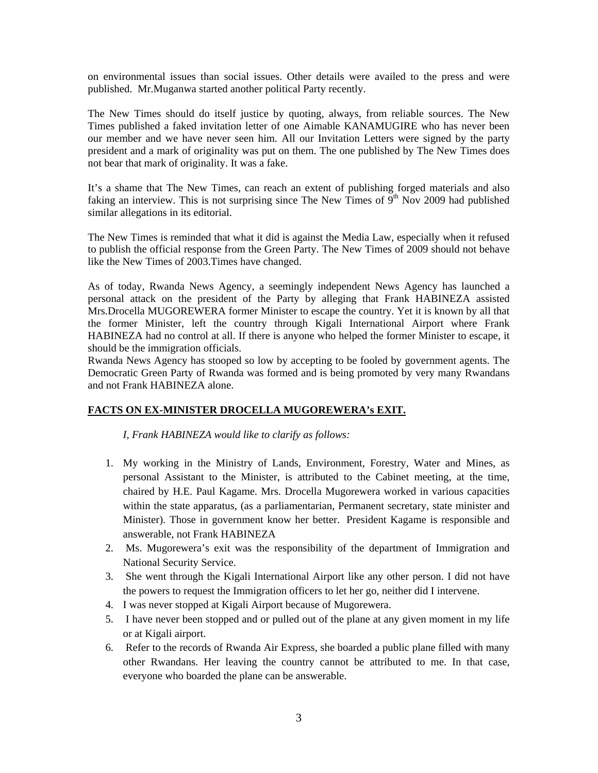on environmental issues than social issues. Other details were availed to the press and were published. Mr.Muganwa started another political Party recently.

The New Times should do itself justice by quoting, always, from reliable sources. The New Times published a faked invitation letter of one Aimable KANAMUGIRE who has never been our member and we have never seen him. All our Invitation Letters were signed by the party president and a mark of originality was put on them. The one published by The New Times does not bear that mark of originality. It was a fake.

It's a shame that The New Times, can reach an extent of publishing forged materials and also faking an interview. This is not surprising since The New Times of  $9<sup>th</sup>$  Nov 2009 had published similar allegations in its editorial.

The New Times is reminded that what it did is against the Media Law, especially when it refused to publish the official response from the Green Party. The New Times of 2009 should not behave like the New Times of 2003.Times have changed.

As of today, Rwanda News Agency, a seemingly independent News Agency has launched a personal attack on the president of the Party by alleging that Frank HABINEZA assisted Mrs.Drocella MUGOREWERA former Minister to escape the country. Yet it is known by all that the former Minister, left the country through Kigali International Airport where Frank HABINEZA had no control at all. If there is anyone who helped the former Minister to escape, it should be the immigration officials.

Rwanda News Agency has stooped so low by accepting to be fooled by government agents. The Democratic Green Party of Rwanda was formed and is being promoted by very many Rwandans and not Frank HABINEZA alone.

#### **FACTS ON EX-MINISTER DROCELLA MUGOREWERA's EXIT.**

*I, Frank HABINEZA would like to clarify as follows:* 

- 1. My working in the Ministry of Lands, Environment, Forestry, Water and Mines, as personal Assistant to the Minister, is attributed to the Cabinet meeting, at the time, chaired by H.E. Paul Kagame. Mrs. Drocella Mugorewera worked in various capacities within the state apparatus, (as a parliamentarian, Permanent secretary, state minister and Minister). Those in government know her better. President Kagame is responsible and answerable, not Frank HABINEZA
- 2. Ms. Mugorewera's exit was the responsibility of the department of Immigration and National Security Service.
- 3. She went through the Kigali International Airport like any other person. I did not have the powers to request the Immigration officers to let her go, neither did I intervene.
- 4. I was never stopped at Kigali Airport because of Mugorewera.
- 5. I have never been stopped and or pulled out of the plane at any given moment in my life or at Kigali airport.
- 6. Refer to the records of Rwanda Air Express, she boarded a public plane filled with many other Rwandans. Her leaving the country cannot be attributed to me. In that case, everyone who boarded the plane can be answerable.